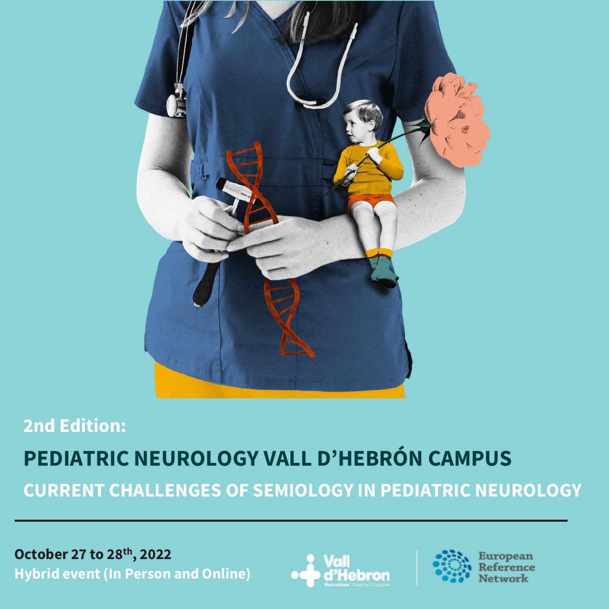

# **2nd Edition: PEDIATRIC NEUROLOGY VALL D'HEBRÓN CAMPUS CURRENT CHALLENGES OF SEMIOLOGY IN PEDIATRIC NEUROLOGY**

**October 27 to 28th, 2022 Hybrid event (In Person and Online)**



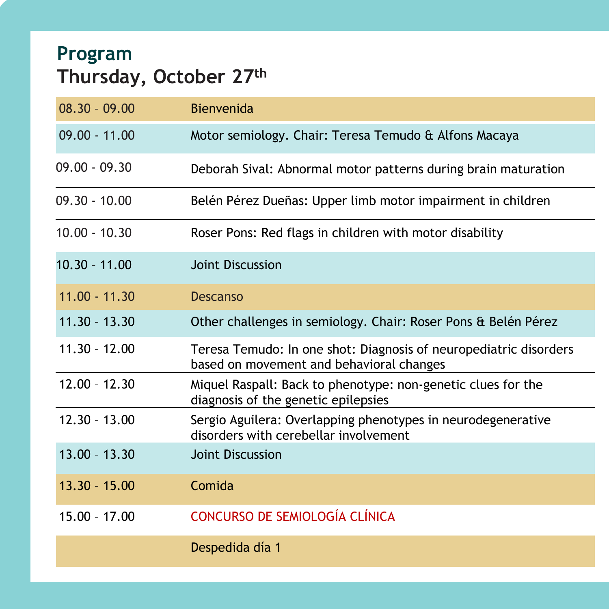# **Program Thursday, October 27th**

| $08.30 - 09.00$ | <b>Bienvenida</b>                                                                                             |
|-----------------|---------------------------------------------------------------------------------------------------------------|
| $09.00 - 11.00$ | Motor semiology. Chair: Teresa Temudo & Alfons Macaya                                                         |
| $09.00 - 09.30$ | Deborah Sival: Abnormal motor patterns during brain maturation                                                |
| $09.30 - 10.00$ | Belén Pérez Dueñas: Upper limb motor impairment in children                                                   |
| $10.00 - 10.30$ | Roser Pons: Red flags in children with motor disability                                                       |
| $10.30 - 11.00$ | <b>Joint Discussion</b>                                                                                       |
| $11.00 - 11.30$ | <b>Descanso</b>                                                                                               |
| $11.30 - 13.30$ | Other challenges in semiology. Chair: Roser Pons & Belén Pérez                                                |
| $11.30 - 12.00$ | Teresa Temudo: In one shot: Diagnosis of neuropediatric disorders<br>based on movement and behavioral changes |
| $12.00 - 12.30$ | Miquel Raspall: Back to phenotype: non-genetic clues for the<br>diagnosis of the genetic epilepsies           |
| $12.30 - 13.00$ | Sergio Aguilera: Overlapping phenotypes in neurodegenerative<br>disorders with cerebellar involvement         |
| $13.00 - 13.30$ | <b>Joint Discussion</b>                                                                                       |
| $13.30 - 15.00$ | Comida                                                                                                        |
| $15.00 - 17.00$ | CONCURSO DE SEMIOLOGÍA CLÍNICA                                                                                |
|                 | Despedida día 1                                                                                               |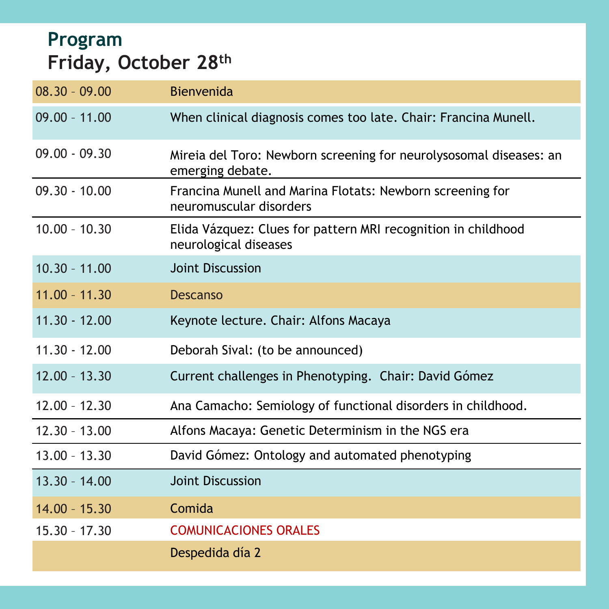# **Program Friday, October 28th**

| $08.30 - 09.00$ | <b>Bienvenida</b>                                                                      |
|-----------------|----------------------------------------------------------------------------------------|
| $09.00 - 11.00$ | When clinical diagnosis comes too late. Chair: Francina Munell.                        |
| $09.00 - 09.30$ | Mireia del Toro: Newborn screening for neurolysosomal diseases: an<br>emerging debate. |
| $09.30 - 10.00$ | Francina Munell and Marina Flotats: Newborn screening for<br>neuromuscular disorders   |
| $10.00 - 10.30$ | Elida Vázquez: Clues for pattern MRI recognition in childhood<br>neurological diseases |
| $10.30 - 11.00$ | <b>Joint Discussion</b>                                                                |
| $11.00 - 11.30$ | <b>Descanso</b>                                                                        |
| $11.30 - 12.00$ | Keynote lecture. Chair: Alfons Macaya                                                  |
| $11.30 - 12.00$ | Deborah Sival: (to be announced)                                                       |
| $12.00 - 13.30$ | Current challenges in Phenotyping. Chair: David Gómez                                  |
| $12.00 - 12.30$ | Ana Camacho: Semiology of functional disorders in childhood.                           |
| $12.30 - 13.00$ | Alfons Macaya: Genetic Determinism in the NGS era                                      |
| $13.00 - 13.30$ | David Gómez: Ontology and automated phenotyping                                        |
| $13.30 - 14.00$ | <b>Joint Discussion</b>                                                                |
| $14.00 - 15.30$ | Comida                                                                                 |
| $15.30 - 17.30$ | <b>COMUNICACIONES ORALES</b>                                                           |
|                 | Despedida día 2                                                                        |